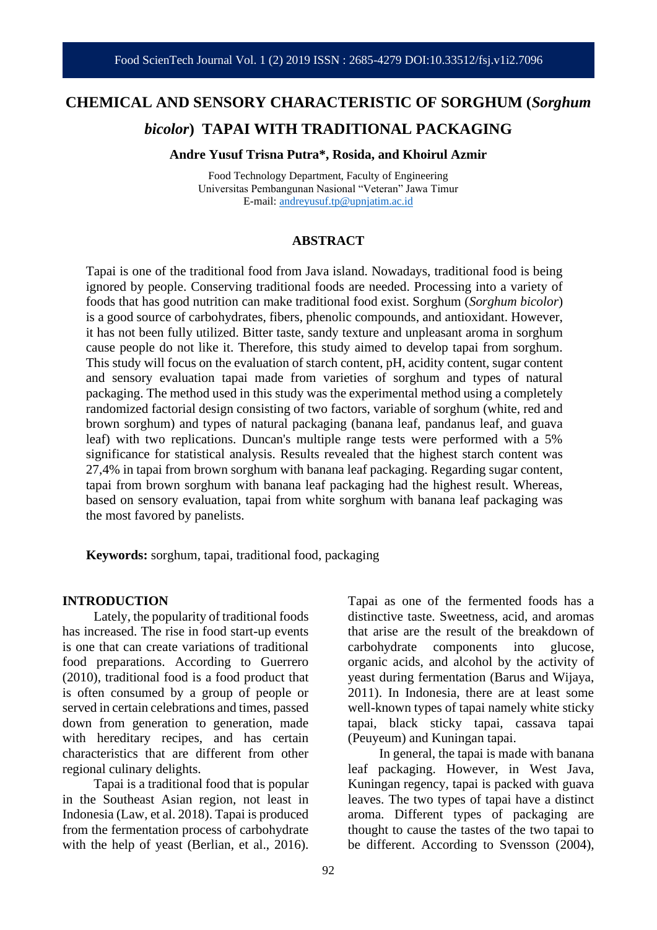# **CHEMICAL AND SENSORY CHARACTERISTIC OF SORGHUM (***Sorghum bicolor***) TAPAI WITH TRADITIONAL PACKAGING**

**Andre Yusuf Trisna Putra\*, Rosida, and Khoirul Azmir** 

Food Technology Department, Faculty of Engineering Universitas Pembangunan Nasional "Veteran" Jawa Timur E-mail: [andreyusuf.tp@upnjatim.ac.id](mailto:andreyusuf.tp@upnjatim.ac.id)

#### **ABSTRACT**

Tapai is one of the traditional food from Java island. Nowadays, traditional food is being ignored by people. Conserving traditional foods are needed. Processing into a variety of foods that has good nutrition can make traditional food exist. Sorghum (*Sorghum bicolor*) is a good source of carbohydrates, fibers, phenolic compounds, and antioxidant. However, it has not been fully utilized. Bitter taste, sandy texture and unpleasant aroma in sorghum cause people do not like it. Therefore, this study aimed to develop tapai from sorghum. This study will focus on the evaluation of starch content, pH, acidity content, sugar content and sensory evaluation tapai made from varieties of sorghum and types of natural packaging. The method used in this study was the experimental method using a completely randomized factorial design consisting of two factors, variable of sorghum (white, red and brown sorghum) and types of natural packaging (banana leaf, pandanus leaf, and guava leaf) with two replications. Duncan's multiple range tests were performed with a 5% significance for statistical analysis. Results revealed that the highest starch content was 27,4% in tapai from brown sorghum with banana leaf packaging. Regarding sugar content, tapai from brown sorghum with banana leaf packaging had the highest result. Whereas, based on sensory evaluation, tapai from white sorghum with banana leaf packaging was the most favored by panelists.

**Keywords:** sorghum, tapai, traditional food, packaging

#### **INTRODUCTION**

Lately, the popularity of traditional foods has increased. The rise in food start-up events is one that can create variations of traditional food preparations. According to Guerrero (2010), traditional food is a food product that is often consumed by a group of people or served in certain celebrations and times, passed down from generation to generation, made with hereditary recipes, and has certain characteristics that are different from other regional culinary delights.

Tapai is a traditional food that is popular in the Southeast Asian region, not least in Indonesia (Law, et al. 2018). Tapai is produced from the fermentation process of carbohydrate with the help of yeast (Berlian, et al., 2016).

Tapai as one of the fermented foods has a distinctive taste. Sweetness, acid, and aromas that arise are the result of the breakdown of carbohydrate components into glucose, organic acids, and alcohol by the activity of yeast during fermentation (Barus and Wijaya, 2011). In Indonesia, there are at least some well-known types of tapai namely white sticky tapai, black sticky tapai, cassava tapai (Peuyeum) and Kuningan tapai. In general, the tapai is made with banana

leaf packaging. However, in West Java, Kuningan regency, tapai is packed with guava leaves. The two types of tapai have a distinct aroma. Different types of packaging are thought to cause the tastes of the two tapai to be different. According to Svensson (2004),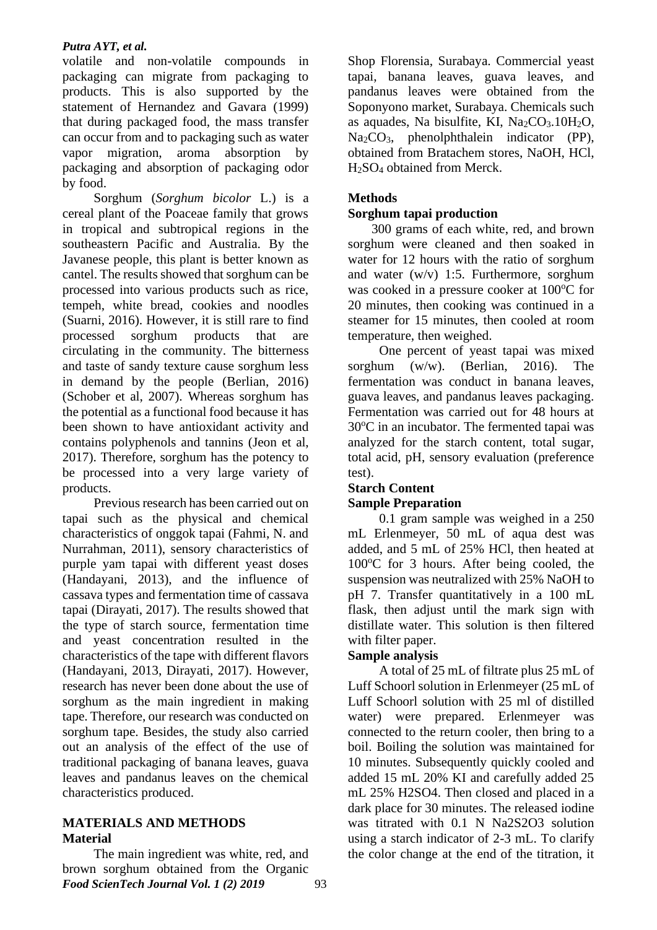#### *Putra AYT, et al.*

volatile and non-volatile compounds in packaging can migrate from packaging to products. This is also supported by the statement of Hernandez and Gavara (1999) that during packaged food, the mass transfer can occur from and to packaging such as water vapor migration, aroma absorption by packaging and absorption of packaging odor by food.

Sorghum (*Sorghum bicolor* L.) is a cereal plant of the Poaceae family that grows in tropical and subtropical regions in the southeastern Pacific and Australia. By the Javanese people, this plant is better known as cantel. The results showed that sorghum can be processed into various products such as rice, tempeh, white bread, cookies and noodles (Suarni, 2016). However, it is still rare to find processed sorghum products that are circulating in the community. The bitterness and taste of sandy texture cause sorghum less in demand by the people (Berlian, 2016) (Schober et al, 2007). Whereas sorghum has the potential as a functional food because it has been shown to have antioxidant activity and contains polyphenols and tannins (Jeon et al, 2017). Therefore, sorghum has the potency to be processed into a very large variety of products.

Previous research has been carried out on tapai such as the physical and chemical characteristics of onggok tapai (Fahmi, N. and Nurrahman, 2011), sensory characteristics of purple yam tapai with different yeast doses (Handayani, 2013), and the influence of cassava types and fermentation time of cassava tapai (Dirayati, 2017). The results showed that the type of starch source, fermentation time and yeast concentration resulted in the characteristics of the tape with different flavors (Handayani, 2013, Dirayati, 2017). However, research has never been done about the use of sorghum as the main ingredient in making tape. Therefore, our research was conducted on sorghum tape. Besides, the study also carried out an analysis of the effect of the use of traditional packaging of banana leaves, guava leaves and pandanus leaves on the chemical characteristics produced.

## **MATERIALS AND METHODS Material**

*Food ScienTech Journal Vol. 1 (2) 2019* 93 The main ingredient was white, red, and brown sorghum obtained from the Organic

Shop Florensia, Surabaya. Commercial yeast tapai, banana leaves, guava leaves, and pandanus leaves were obtained from the Soponyono market, Surabaya. Chemicals such as aquades, Na bisulfite, KI,  $Na<sub>2</sub>CO<sub>3</sub>$ .10H<sub>2</sub>O, Na2CO3, phenolphthalein indicator (PP), obtained from Bratachem stores, NaOH, HCl, H2SO<sup>4</sup> obtained from Merck.

# **Methods**

# **Sorghum tapai production**

300 grams of each white, red, and brown sorghum were cleaned and then soaked in water for 12 hours with the ratio of sorghum and water (w/v) 1:5. Furthermore, sorghum was cooked in a pressure cooker at  $100^{\circ}$ C for 20 minutes, then cooking was continued in a steamer for 15 minutes, then cooled at room temperature, then weighed.

One percent of yeast tapai was mixed sorghum (w/w). (Berlian, 2016). The fermentation was conduct in banana leaves, guava leaves, and pandanus leaves packaging. Fermentation was carried out for 48 hours at  $30^{\circ}$ C in an incubator. The fermented tapai was analyzed for the starch content, total sugar, total acid, pH, sensory evaluation (preference test).

## **Starch Content Sample Preparation**

0.1 gram sample was weighed in a 250 mL Erlenmeyer, 50 mL of aqua dest was added, and 5 mL of 25% HCl, then heated at  $100^{\circ}$ C for 3 hours. After being cooled, the suspension was neutralized with 25% NaOH to pH 7. Transfer quantitatively in a 100 mL flask, then adjust until the mark sign with distillate water. This solution is then filtered with filter paper.

## **Sample analysis**

A total of 25 mL of filtrate plus 25 mL of Luff Schoorl solution in Erlenmeyer (25 mL of Luff Schoorl solution with 25 ml of distilled water) were prepared. Erlenmeyer was connected to the return cooler, then bring to a boil. Boiling the solution was maintained for 10 minutes. Subsequently quickly cooled and added 15 mL 20% KI and carefully added 25 mL 25% H2SO4. Then closed and placed in a dark place for 30 minutes. The released iodine was titrated with 0.1 N Na2S2O3 solution using a starch indicator of 2-3 mL. To clarify the color change at the end of the titration, it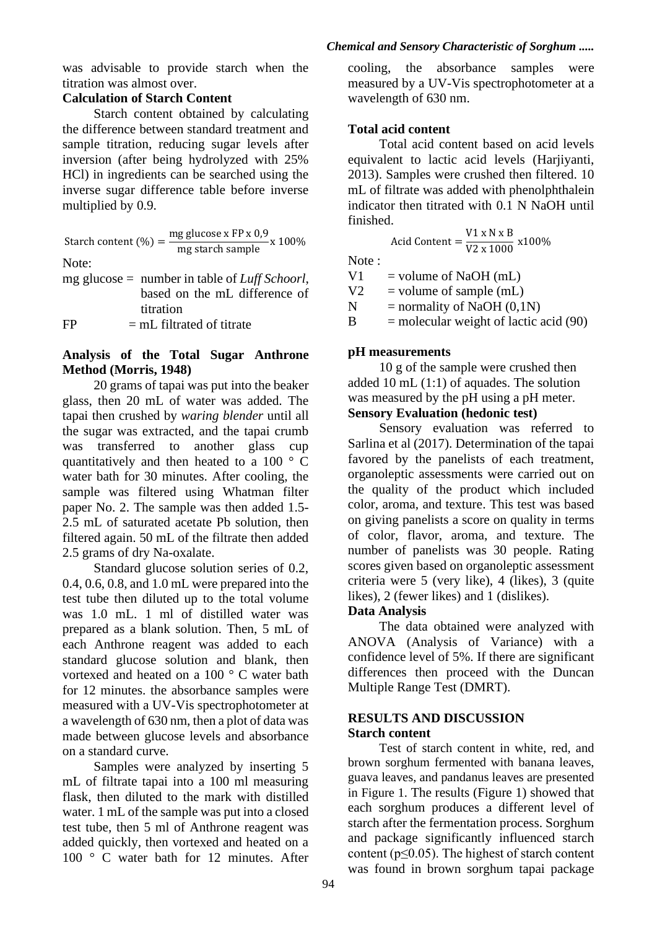was advisable to provide starch when the titration was almost over.

# **Calculation of Starch Content**

Starch content obtained by calculating the difference between standard treatment and sample titration, reducing sugar levels after inversion (after being hydrolyzed with 25% HCl) in ingredients can be searched using the inverse sugar difference table before inverse multiplied by 0.9.

Start content (
$$
\%
$$
) =  $\frac{\text{mg glucose x FP x 0,9}}{\text{mg starch sample}}$  x 100%

Note:

mg glucose = number in table of *Luff Schoorl*, based on the mL difference of titration  $FP = mL \text{ filtered of}$ 

#### **Analysis of the Total Sugar Anthrone Method (Morris, 1948)**

20 grams of tapai was put into the beaker glass, then 20 mL of water was added. The tapai then crushed by *waring blender* until all the sugar was extracted, and the tapai crumb was transferred to another glass cup quantitatively and then heated to a 100 ° C water bath for 30 minutes. After cooling, the sample was filtered using Whatman filter paper No. 2. The sample was then added 1.5- 2.5 mL of saturated acetate Pb solution, then filtered again. 50 mL of the filtrate then added 2.5 grams of dry Na-oxalate.

Standard glucose solution series of 0.2, 0.4, 0.6, 0.8, and 1.0 mL were prepared into the test tube then diluted up to the total volume was 1.0 mL. 1 ml of distilled water was prepared as a blank solution. Then, 5 mL of each Anthrone reagent was added to each standard glucose solution and blank, then vortexed and heated on a 100 ° C water bath for 12 minutes. the absorbance samples were measured with a UV-Vis spectrophotometer at a wavelength of 630 nm, then a plot of data was made between glucose levels and absorbance on a standard curve.

Samples were analyzed by inserting 5 mL of filtrate tapai into a 100 ml measuring flask, then diluted to the mark with distilled water. 1 mL of the sample was put into a closed test tube, then 5 ml of Anthrone reagent was added quickly, then vortexed and heated on a 100 ° C water bath for 12 minutes. After

cooling, the absorbance samples were measured by a UV-Vis spectrophotometer at a wavelength of 630 nm.

## **Total acid content**

Total acid content based on acid levels equivalent to lactic acid levels (Harjiyanti, 2013). Samples were crushed then filtered. 10 mL of filtrate was added with phenolphthalein indicator then titrated with 0.1 N NaOH until finished.

$$
Acid Content = \frac{V1 \times N \times B}{V2 \times 1000} \times 100\%
$$

Note :

 $V1 =$  volume of NaOH (mL)

 $V2$  = volume of sample (mL)

 $N =$  normality of NaOH (0,1N)

 $B =$  molecular weight of lactic acid (90)

## **pH measurements**

10 g of the sample were crushed then added 10 mL (1:1) of aquades. The solution was measured by the pH using a pH meter. **Sensory Evaluation (hedonic test)**

Sensory evaluation was referred to Sarlina et al (2017). Determination of the tapai favored by the panelists of each treatment, organoleptic assessments were carried out on the quality of the product which included color, aroma, and texture. This test was based on giving panelists a score on quality in terms of color, flavor, aroma, and texture. The number of panelists was 30 people. Rating scores given based on organoleptic assessment criteria were 5 (very like), 4 (likes), 3 (quite likes), 2 (fewer likes) and 1 (dislikes).

## **Data Analysis**

The data obtained were analyzed with ANOVA (Analysis of Variance) with a confidence level of 5%. If there are significant differences then proceed with the Duncan Multiple Range Test (DMRT).

#### **RESULTS AND DISCUSSION Starch content**

Test of starch content in white, red, and brown sorghum fermented with banana leaves, guava leaves, and pandanus leaves are presented in Figure 1. The results (Figure 1) showed that each sorghum produces a different level of starch after the fermentation process. Sorghum and package significantly influenced starch content ( $p \le 0.05$ ). The highest of starch content was found in brown sorghum tapai package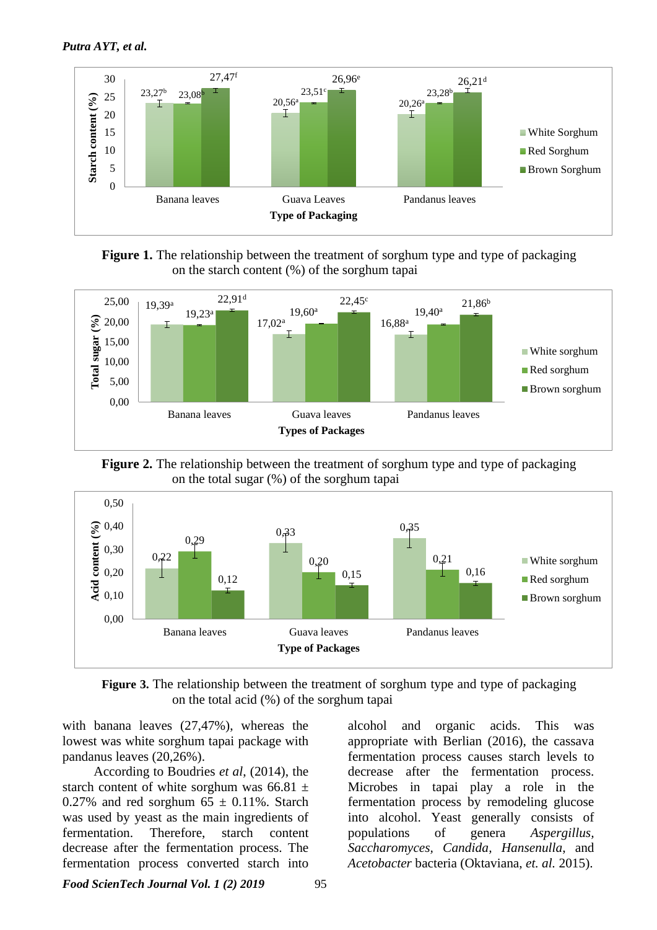

**Figure 1.** The relationship between the treatment of sorghum type and type of packaging on the starch content (%) of the sorghum tapai







**Figure 3.** The relationship between the treatment of sorghum type and type of packaging on the total acid (%) of the sorghum tapai

with banana leaves (27,47%), whereas the lowest was white sorghum tapai package with pandanus leaves (20,26%).

According to Boudries *et al*, (2014), the starch content of white sorghum was  $66.81 \pm$ 0.27% and red sorghum  $65 \pm 0.11$ %. Starch was used by yeast as the main ingredients of fermentation. Therefore, starch content decrease after the fermentation process. The fermentation process converted starch into

alcohol and organic acids. This was appropriate with Berlian (2016), the cassava fermentation process causes starch levels to decrease after the fermentation process. Microbes in tapai play a role in the fermentation process by remodeling glucose into alcohol. Yeast generally consists of populations of genera *Aspergillus, Saccharomyces, Candida, Hansenulla*, and *Acetobacter* bacteria (Oktaviana, *et. al.* 2015).

*Food ScienTech Journal Vol. 1 (2) 2019* 95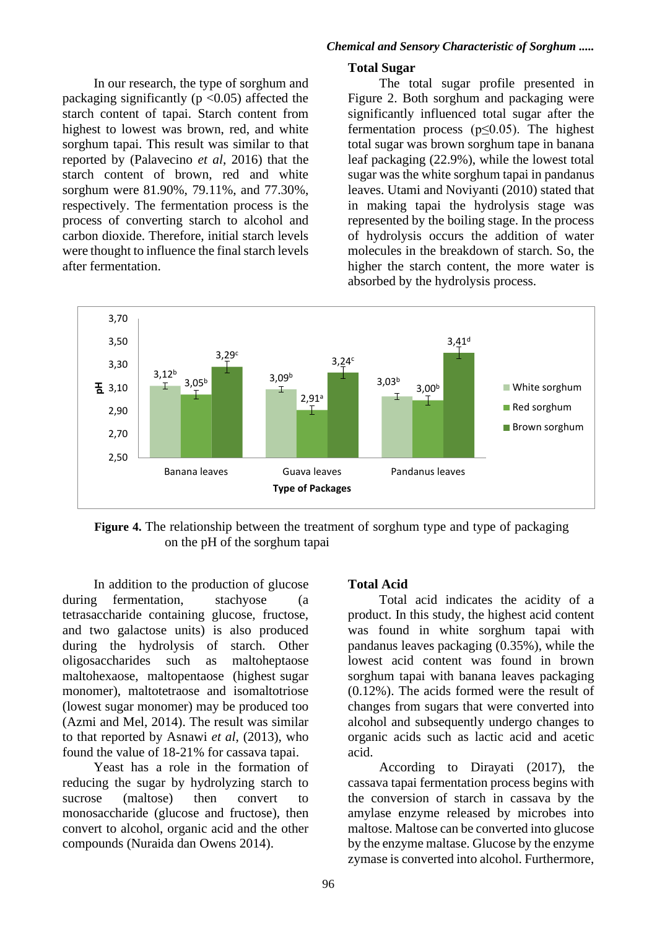In our research, the type of sorghum and packaging significantly ( $p \le 0.05$ ) affected the starch content of tapai. Starch content from highest to lowest was brown, red, and white sorghum tapai. This result was similar to that reported by (Palavecino *et al*, 2016) that the starch content of brown, red and white sorghum were 81.90%, 79.11%, and 77.30%, respectively. The fermentation process is the process of converting starch to alcohol and carbon dioxide. Therefore, initial starch levels were thought to influence the final starch levels after fermentation.

# **Total Sugar**

The total sugar profile presented in Figure 2. Both sorghum and packaging were significantly influenced total sugar after the fermentation process (p≤0.05). The highest total sugar was brown sorghum tape in banana leaf packaging (22.9%), while the lowest total sugar was the white sorghum tapai in pandanus leaves. Utami and Noviyanti (2010) stated that in making tapai the hydrolysis stage was represented by the boiling stage. In the process of hydrolysis occurs the addition of water molecules in the breakdown of starch. So, the higher the starch content, the more water is absorbed by the hydrolysis process.



**Figure 4.** The relationship between the treatment of sorghum type and type of packaging on the pH of the sorghum tapai

In addition to the production of glucose during fermentation, stachyose (a tetrasaccharide containing glucose, fructose, and two galactose units) is also produced during the hydrolysis of starch. Other oligosaccharides such as maltoheptaose maltohexaose, maltopentaose (highest sugar monomer), maltotetraose and isomaltotriose (lowest sugar monomer) may be produced too (Azmi and Mel, 2014). The result was similar to that reported by Asnawi *et al*, (2013), who found the value of 18-21% for cassava tapai.

Yeast has a role in the formation of reducing the sugar by hydrolyzing starch to sucrose (maltose) then convert to monosaccharide (glucose and fructose), then convert to alcohol, organic acid and the other compounds (Nuraida dan Owens 2014).

## **Total Acid**

Total acid indicates the acidity of a product. In this study, the highest acid content was found in white sorghum tapai with pandanus leaves packaging (0.35%), while the lowest acid content was found in brown sorghum tapai with banana leaves packaging (0.12%). The acids formed were the result of changes from sugars that were converted into alcohol and subsequently undergo changes to organic acids such as lactic acid and acetic acid.

According to Dirayati (2017), the cassava tapai fermentation process begins with the conversion of starch in cassava by the amylase enzyme released by microbes into maltose. Maltose can be converted into glucose by the enzyme maltase. Glucose by the enzyme zymase is converted into alcohol. Furthermore,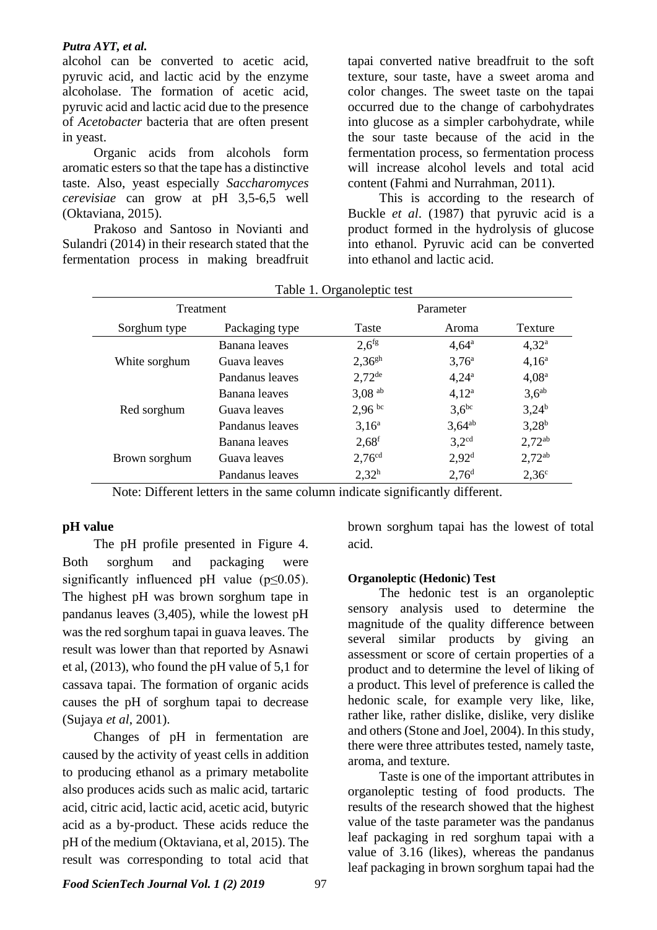#### *Putra AYT, et al.*

alcohol can be converted to acetic acid, pyruvic acid, and lactic acid by the enzyme alcoholase. The formation of acetic acid, pyruvic acid and lactic acid due to the presence of *Acetobacter* bacteria that are often present in yeast.

Organic acids from alcohols form aromatic esters so that the tape has a distinctive taste. Also, yeast especially *Saccharomyces cerevisiae* can grow at pH 3,5-6,5 well (Oktaviana, 2015).

Prakoso and Santoso in Novianti and Sulandri (2014) in their research stated that the fermentation process in making breadfruit tapai converted native breadfruit to the soft texture, sour taste, have a sweet aroma and color changes. The sweet taste on the tapai occurred due to the change of carbohydrates into glucose as a simpler carbohydrate, while the sour taste because of the acid in the fermentation process, so fermentation process will increase alcohol levels and total acid content (Fahmi and Nurrahman, 2011).

This is according to the research of Buckle *et al*. (1987) that pyruvic acid is a product formed in the hydrolysis of glucose into ethanol. Pyruvic acid can be converted into ethanol and lactic acid.

| Table 1. Organolepue lest |                 |                      |                   |                   |
|---------------------------|-----------------|----------------------|-------------------|-------------------|
| Treatment                 |                 | Parameter            |                   |                   |
| Sorghum type              | Packaging type  | Taste                | Aroma             | Texture           |
| White sorghum             | Banana leaves   | $2,6$ <sup>fg</sup>  | $4,64^{\rm a}$    | $4,32^{\rm a}$    |
|                           | Guava leaves    | $2,36^{gh}$          | $3,76^{\rm a}$    | $4,16^a$          |
|                           | Pandanus leaves | $2,72^{\text{de}}$   | $4,24^{\rm a}$    | 4.08 <sup>a</sup> |
| Red sorghum               | Banana leaves   | $3,08$ <sup>ab</sup> | $4,12^a$          | $3,6^{ab}$        |
|                           | Guava leaves    | $2,96^{bc}$          | $3.6^{bc}$        | $3,24^{b}$        |
|                           | Pandanus leaves | $3,16^a$             | $3,64^{ab}$       | $3,28^{b}$        |
| Brown sorghum             | Banana leaves   | $2,68^f$             | $3,2^{cd}$        | $2,72^{ab}$       |
|                           | Guava leaves    | 2,76 <sup>cd</sup>   | 2.92 <sup>d</sup> | $2,72^{ab}$       |
|                           | Pandanus leaves | $2,32^h$             | 2,76 <sup>d</sup> | $2,36^{\circ}$    |

Table 1. Organoleptic test

Note: Different letters in the same column indicate significantly different.

#### **pH value**

The pH profile presented in Figure 4. Both sorghum and packaging were significantly influenced pH value (p≤0.05). The highest pH was brown sorghum tape in pandanus leaves (3,405), while the lowest pH was the red sorghum tapai in guava leaves. The result was lower than that reported by Asnawi et al, (2013), who found the pH value of 5,1 for cassava tapai. The formation of organic acids causes the pH of sorghum tapai to decrease (Sujaya *et al*, 2001).

Changes of pH in fermentation are caused by the activity of yeast cells in addition to producing ethanol as a primary metabolite also produces acids such as malic acid, tartaric acid, citric acid, lactic acid, acetic acid, butyric acid as a by-product. These acids reduce the pH of the medium (Oktaviana, et al, 2015). The result was corresponding to total acid that

brown sorghum tapai has the lowest of total acid.

#### **Organoleptic (Hedonic) Test**

The hedonic test is an organoleptic sensory analysis used to determine the magnitude of the quality difference between several similar products by giving an assessment or score of certain properties of a product and to determine the level of liking of a product. This level of preference is called the hedonic scale, for example very like, like, rather like, rather dislike, dislike, very dislike and others (Stone and Joel, 2004). In this study, there were three attributes tested, namely taste, aroma, and texture.

Taste is one of the important attributes in organoleptic testing of food products. The results of the research showed that the highest value of the taste parameter was the pandanus leaf packaging in red sorghum tapai with a value of 3.16 (likes), whereas the pandanus leaf packaging in brown sorghum tapai had the

*Food ScienTech Journal Vol. 1 (2) 2019* 97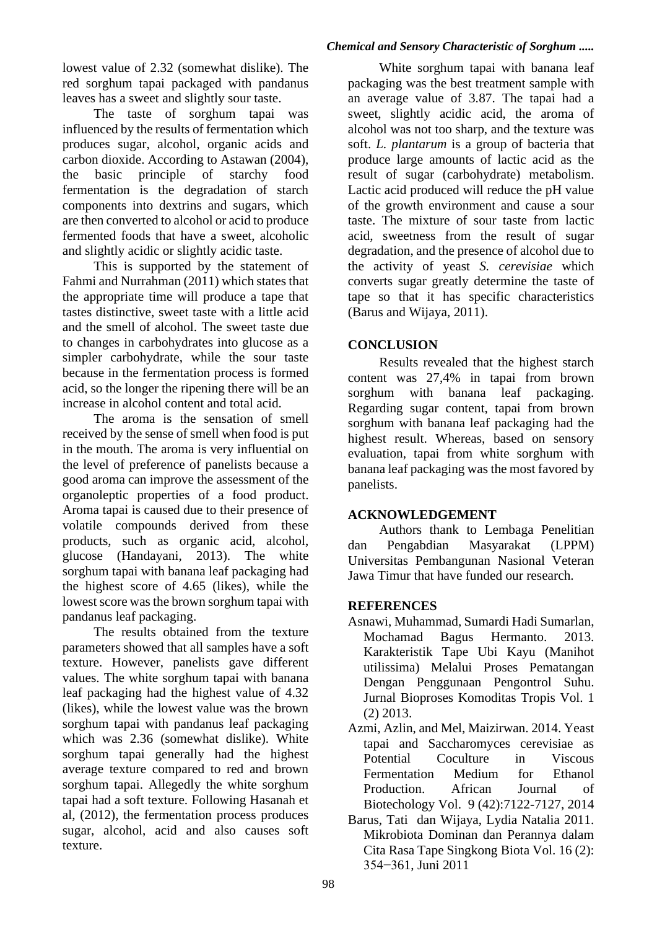lowest value of 2.32 (somewhat dislike). The red sorghum tapai packaged with pandanus leaves has a sweet and slightly sour taste.

The taste of sorghum tapai was influenced by the results of fermentation which produces sugar, alcohol, organic acids and carbon dioxide. According to Astawan (2004), the basic principle of starchy food fermentation is the degradation of starch components into dextrins and sugars, which are then converted to alcohol or acid to produce fermented foods that have a sweet, alcoholic and slightly acidic or slightly acidic taste.

This is supported by the statement of Fahmi and Nurrahman (2011) which states that the appropriate time will produce a tape that tastes distinctive, sweet taste with a little acid and the smell of alcohol. The sweet taste due to changes in carbohydrates into glucose as a simpler carbohydrate, while the sour taste because in the fermentation process is formed acid, so the longer the ripening there will be an increase in alcohol content and total acid.

The aroma is the sensation of smell received by the sense of smell when food is put in the mouth. The aroma is very influential on the level of preference of panelists because a good aroma can improve the assessment of the organoleptic properties of a food product. Aroma tapai is caused due to their presence of volatile compounds derived from these products, such as organic acid, alcohol, glucose (Handayani, 2013). The white sorghum tapai with banana leaf packaging had the highest score of 4.65 (likes), while the lowest score was the brown sorghum tapai with pandanus leaf packaging.

The results obtained from the texture parameters showed that all samples have a soft texture. However, panelists gave different values. The white sorghum tapai with banana leaf packaging had the highest value of 4.32 (likes), while the lowest value was the brown sorghum tapai with pandanus leaf packaging which was 2.36 (somewhat dislike). White sorghum tapai generally had the highest average texture compared to red and brown sorghum tapai. Allegedly the white sorghum tapai had a soft texture. Following Hasanah et al, (2012), the fermentation process produces sugar, alcohol, acid and also causes soft texture.

#### *Chemical and Sensory Characteristic of Sorghum .....*

White sorghum tapai with banana leaf packaging was the best treatment sample with an average value of 3.87. The tapai had a sweet, slightly acidic acid, the aroma of alcohol was not too sharp, and the texture was soft. *L. plantarum* is a group of bacteria that produce large amounts of lactic acid as the result of sugar (carbohydrate) metabolism. Lactic acid produced will reduce the pH value of the growth environment and cause a sour taste. The mixture of sour taste from lactic acid, sweetness from the result of sugar degradation, and the presence of alcohol due to the activity of yeast *S. cerevisiae* which converts sugar greatly determine the taste of tape so that it has specific characteristics (Barus and Wijaya, 2011).

## **CONCLUSION**

Results revealed that the highest starch content was 27,4% in tapai from brown sorghum with banana leaf packaging. Regarding sugar content, tapai from brown sorghum with banana leaf packaging had the highest result. Whereas, based on sensory evaluation, tapai from white sorghum with banana leaf packaging was the most favored by panelists.

## **ACKNOWLEDGEMENT**

Authors thank to Lembaga Penelitian dan Pengabdian Masyarakat (LPPM) Universitas Pembangunan Nasional Veteran Jawa Timur that have funded our research.

## **REFERENCES**

- Asnawi, Muhammad, Sumardi Hadi Sumarlan, Mochamad Bagus Hermanto. 2013. Karakteristik Tape Ubi Kayu (Manihot utilissima) Melalui Proses Pematangan Dengan Penggunaan Pengontrol Suhu. Jurnal Bioproses Komoditas Tropis Vol. 1 (2) 2013.
- Azmi, Azlin, and Mel, Maizirwan. 2014. Yeast tapai and Saccharomyces cerevisiae as Potential Coculture in Viscous Fermentation Medium for Ethanol Production. African Journal of Biotechology Vol. 9 (42):7122-7127, 2014
- Barus, Tati dan Wijaya, Lydia Natalia 2011. Mikrobiota Dominan dan Perannya dalam Cita Rasa Tape Singkong Biota Vol. 16 (2): 354−361, Juni 2011